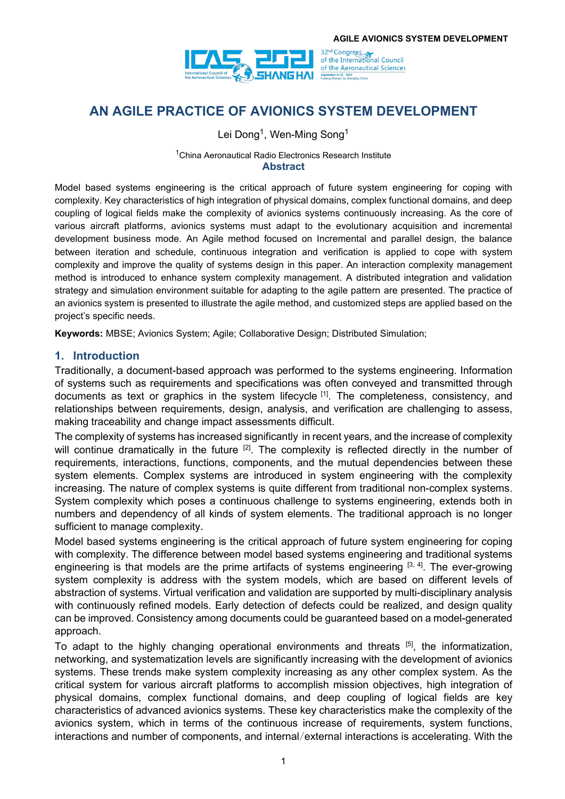

# **AN AGILE PRACTICE OF AVIONICS SYSTEM DEVELOPMENT**

Lei Dong<sup>1</sup>, Wen-Ming Song<sup>1</sup>

#### <sup>1</sup>China Aeronautical Radio Electronics Research Institute **Abstract**

Model based systems engineering is the critical approach of future system engineering for coping with complexity. Key characteristics of high integration of physical domains, complex functional domains, and deep coupling of logical fields make the complexity of avionics systems continuously increasing. As the core of various aircraft platforms, avionics systems must adapt to the evolutionary acquisition and incremental development business mode. An Agile method focused on Incremental and parallel design, the balance between iteration and schedule, continuous integration and verification is applied to cope with system complexity and improve the quality of systems design in this paper. An interaction complexity management method is introduced to enhance system complexity management. A distributed integration and validation strategy and simulation environment suitable for adapting to the agile pattern are presented. The practice of an avionics system is presented to illustrate the agile method, and customized steps are applied based on the project's specific needs.

**Keywords:** MBSE; Avionics System; Agile; Collaborative Design; Distributed Simulation;

#### **1. Introduction**

Traditionally, a document-based approach was performed to the systems engineering. Information of systems such as requirements and specifications was often conveyed and transmitted through documents as text or graphics in the system lifecycle <sup>[1]</sup>. The completeness, consistency, and relationships between requirements, design, analysis, and verification are challenging to assess, making traceability and change impact assessments difficult.

The complexity of systems has increased significantly in recent years, and the increase of complexity will continue dramatically in the future <sup>[2]</sup>. The complexity is reflected directly in the number of requirements, interactions, functions, components, and the mutual dependencies between these system elements. Complex systems are introduced in system engineering with the complexity increasing. The nature of complex systems is quite different from traditional non-complex systems. System complexity which poses a continuous challenge to systems engineering, extends both in numbers and dependency of all kinds of system elements. The traditional approach is no longer sufficient to manage complexity.

Model based systems engineering is the critical approach of future system engineering for coping with complexity. The difference between model based systems engineering and traditional systems engineering is that models are the prime artifacts of systems engineering  $[3, 4]$ . The ever-growing system complexity is address with the system models, which are based on different levels of abstraction of systems. Virtual verification and validation are supported by multi-disciplinary analysis with continuously refined models. Early detection of defects could be realized, and design quality can be improved. Consistency among documents could be guaranteed based on a model-generated approach.

To adapt to the highly changing operational environments and threats <sup>[5]</sup>, the informatization, networking, and systematization levels are significantly increasing with the development of avionics systems. These trends make system complexity increasing as any other complex system. As the critical system for various aircraft platforms to accomplish mission objectives, high integration of physical domains, complex functional domains, and deep coupling of logical fields are key characteristics of advanced avionics systems. These key characteristics make the complexity of the avionics system, which in terms of the continuous increase of requirements, system functions, interactions and number of components, and internal/external interactions is accelerating. With the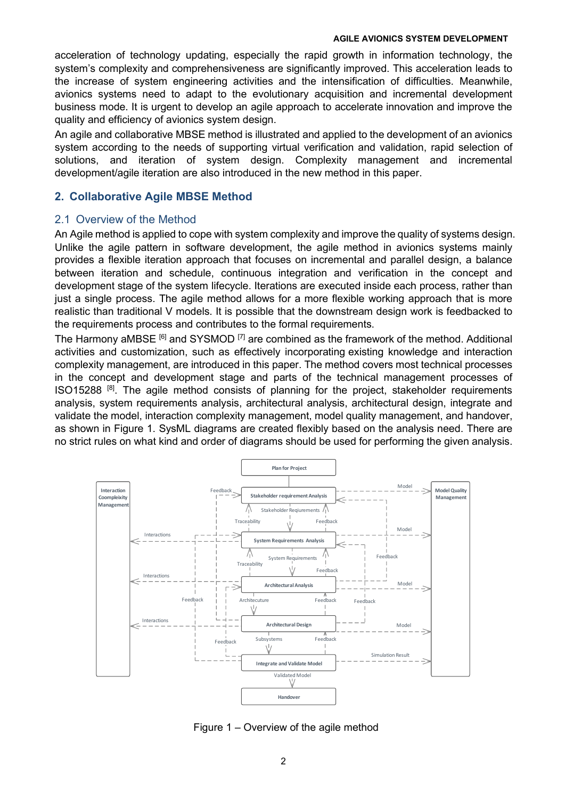acceleration of technology updating, especially the rapid growth in information technology, the system's complexity and comprehensiveness are significantly improved. This acceleration leads to the increase of system engineering activities and the intensification of difficulties. Meanwhile, avionics systems need to adapt to the evolutionary acquisition and incremental development business mode. It is urgent to develop an agile approach to accelerate innovation and improve the quality and efficiency of avionics system design.

An agile and collaborative MBSE method is illustrated and applied to the development of an avionics system according to the needs of supporting virtual verification and validation, rapid selection of solutions, and iteration of system design. Complexity management and incremental development/agile iteration are also introduced in the new method in this paper.

#### **2. Collaborative Agile MBSE Method**

#### 2.1 Overview of the Method

An Agile method is applied to cope with system complexity and improve the quality of systems design. Unlike the agile pattern in software development, the agile method in avionics systems mainly provides a flexible iteration approach that focuses on incremental and parallel design, a balance between iteration and schedule, continuous integration and verification in the concept and development stage of the system lifecycle. Iterations are executed inside each process, rather than just a single process. The agile method allows for a more flexible working approach that is more realistic than traditional V models. It is possible that the downstream design work is feedbacked to the requirements process and contributes to the formal requirements.

The Harmony aMBSE  $[6]$  and SYSMOD  $[7]$  are combined as the framework of the method. Additional activities and customization, such as effectively incorporating existing knowledge and interaction complexity management, are introduced in this paper. The method covers most technical processes in the concept and development stage and parts of the technical management processes of ISO15288<sup>[8]</sup>. The agile method consists of planning for the project, stakeholder requirements analysis, system requirements analysis, architectural analysis, architectural design, integrate and validate the model, interaction complexity management, model quality management, and handover, as shown in [Figure 1.](#page-1-0) SysML diagrams are created flexibly based on the analysis need. There are no strict rules on what kind and order of diagrams should be used for performing the given analysis.



<span id="page-1-0"></span>Figure 1 – Overview of the agile method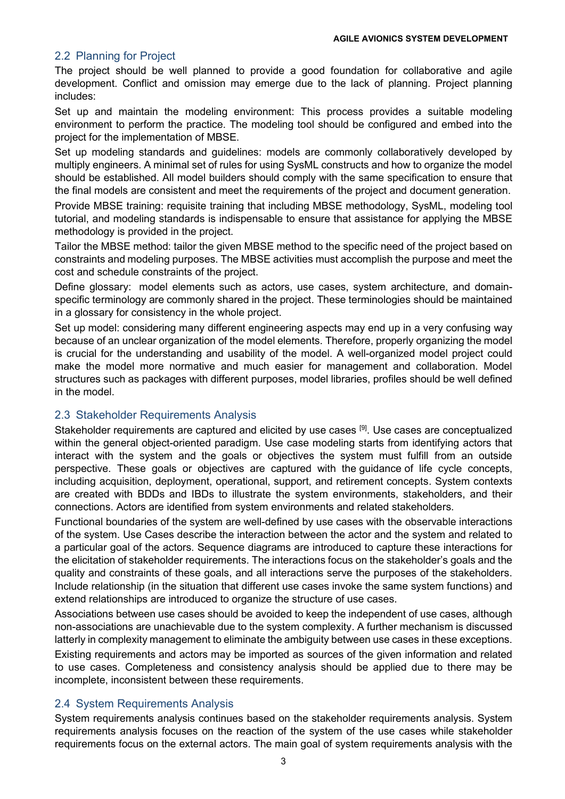### 2.2 Planning for Project

The project should be well planned to provide a good foundation for collaborative and agile development. Conflict and omission may emerge due to the lack of planning. Project planning includes:

Set up and maintain the modeling environment: This process provides a suitable modeling environment to perform the practice. The modeling tool should be configured and embed into the project for the implementation of MBSE.

Set up modeling standards and guidelines: models are commonly collaboratively developed by multiply engineers. A minimal set of rules for using SysML constructs and how to organize the model should be established. All model builders should comply with the same specification to ensure that the final models are consistent and meet the requirements of the project and document generation.

Provide MBSE training: requisite training that including MBSE methodology, SysML, modeling tool tutorial, and modeling standards is indispensable to ensure that assistance for applying the MBSE methodology is provided in the project.

Tailor the MBSE method: tailor the given MBSE method to the specific need of the project based on constraints and modeling purposes. The MBSE activities must accomplish the purpose and meet the cost and schedule constraints of the project.

Define glossary: model elements such as actors, use cases, system architecture, and domainspecific terminology are commonly shared in the project. These terminologies should be maintained in a glossary for consistency in the whole project.

Set up model: considering many different engineering aspects may end up in a very confusing way because of an unclear organization of the model elements. Therefore, properly organizing the model is crucial for the understanding and usability of the model. A well-organized model project could make the model more normative and much easier for management and collaboration. Model structures such as packages with different purposes, model libraries, profiles should be well defined in the model.

### 2.3 Stakeholder Requirements Analysis

Stakeholder requirements are captured and elicited by use cases <sup>[9]</sup>. Use cases are conceptualized within the general object-oriented paradigm. Use case modeling starts from identifying actors that interact with the system and the goals or objectives the system must fulfill from an outside perspective. These goals or objectives are captured with the guidance of life cycle concepts, including acquisition, deployment, operational, support, and retirement concepts. System contexts are created with BDDs and IBDs to illustrate the system environments, stakeholders, and their connections. Actors are identified from system environments and related stakeholders.

Functional boundaries of the system are well-defined by use cases with the observable interactions of the system. Use Cases describe the interaction between the actor and the system and related to a particular goal of the actors. Sequence diagrams are introduced to capture these interactions for the elicitation of stakeholder requirements. The interactions focus on the stakeholder's goals and the quality and constraints of these goals, and all interactions serve the purposes of the stakeholders. Include relationship (in the situation that different use cases invoke the same system functions) and extend relationships are introduced to organize the structure of use cases.

Associations between use cases should be avoided to keep the independent of use cases, although non-associations are unachievable due to the system complexity. A further mechanism is discussed latterly in complexity management to eliminate the ambiguity between use cases in these exceptions.

Existing requirements and actors may be imported as sources of the given information and related to use cases. Completeness and consistency analysis should be applied due to there may be incomplete, inconsistent between these requirements.

### 2.4 System Requirements Analysis

System requirements analysis continues based on the stakeholder requirements analysis. System requirements analysis focuses on the reaction of the system of the use cases while stakeholder requirements focus on the external actors. The main goal of system requirements analysis with the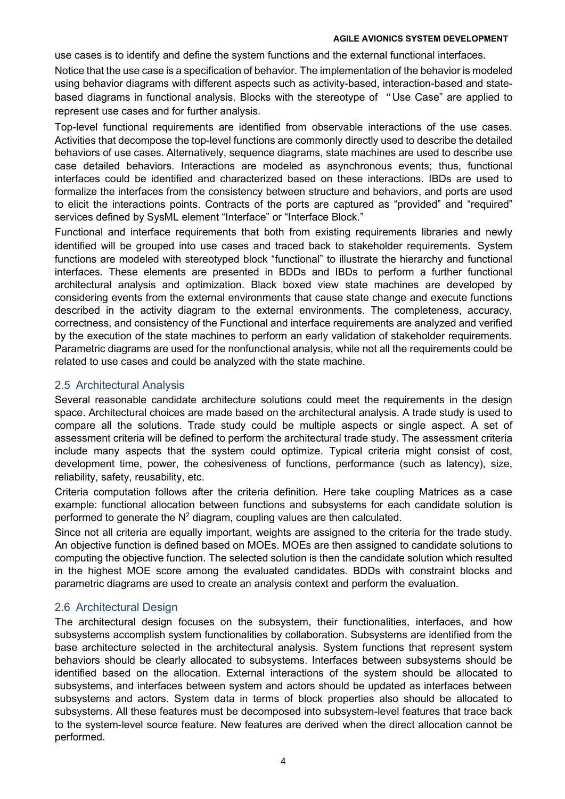use cases is to identify and define the system functions and the external functional interfaces. Notice that the use case is a specification of behavior. The implementation of the behavior is modeled using behavior diagrams with different aspects such as activity-based, interaction-based and statebased diagrams in functional analysis. Blocks with the stereotype of "Use Case" are applied to represent use cases and for further analysis.

Top-level functional requirements are identified from observable interactions of the use cases. Activities that decompose the top-level functions are commonly directly used to describe the detailed behaviors of use cases. Alternatively, sequence diagrams, state machines are used to describe use case detailed behaviors. Interactions are modeled as asynchronous events; thus, functional interfaces could be identified and characterized based on these interactions. IBDs are used to formalize the interfaces from the consistency between structure and behaviors, and ports are used to elicit the interactions points. Contracts of the ports are captured as "provided" and "required" services defined by SysML element "Interface" or "Interface Block."

Functional and interface requirements that both from existing requirements libraries and newly identified will be grouped into use cases and traced back to stakeholder requirements. System functions are modeled with stereotyped block "functional" to illustrate the hierarchy and functional interfaces. These elements are presented in BDDs and IBDs to perform a further functional architectural analysis and optimization. Black boxed view state machines are developed by considering events from the external environments that cause state change and execute functions described in the activity diagram to the external environments. The completeness, accuracy, correctness, and consistency of the Functional and interface requirements are analyzed and verified by the execution of the state machines to perform an early validation of stakeholder requirements. Parametric diagrams are used for the nonfunctional analysis, while not all the requirements could be related to use cases and could be analyzed with the state machine.

#### 2.5 Architectural Analysis

Several reasonable candidate architecture solutions could meet the requirements in the design space. Architectural choices are made based on the architectural analysis. A trade study is used to compare all the solutions. Trade study could be multiple aspects or single aspect. A set of assessment criteria will be defined to perform the architectural trade study. The assessment criteria include many aspects that the system could optimize. Typical criteria might consist of cost, development time, power, the cohesiveness of functions, performance (such as latency), size, reliability, safety, reusability, etc.

Criteria computation follows after the criteria definition. Here take coupling Matrices as a case example: functional allocation between functions and subsystems for each candidate solution is performed to generate the  $N^2$  diagram, coupling values are then calculated.

Since not all criteria are equally important, weights are assigned to the criteria for the trade study. An objective function is defined based on MOEs. MOEs are then assigned to candidate solutions to computing the objective function. The selected solution is then the candidate solution which resulted in the highest MOE score among the evaluated candidates. BDDs with constraint blocks and parametric diagrams are used to create an analysis context and perform the evaluation.

### 2.6 Architectural Design

The architectural design focuses on the subsystem, their functionalities, interfaces, and how subsystems accomplish system functionalities by collaboration. Subsystems are identified from the base architecture selected in the architectural analysis. System functions that represent system behaviors should be clearly allocated to subsystems. Interfaces between subsystems should be identified based on the allocation. External interactions of the system should be allocated to subsystems, and interfaces between system and actors should be updated as interfaces between subsystems and actors. System data in terms of block properties also should be allocated to subsystems. All these features must be decomposed into subsystem-level features that trace back to the system-level source feature. New features are derived when the direct allocation cannot be performed.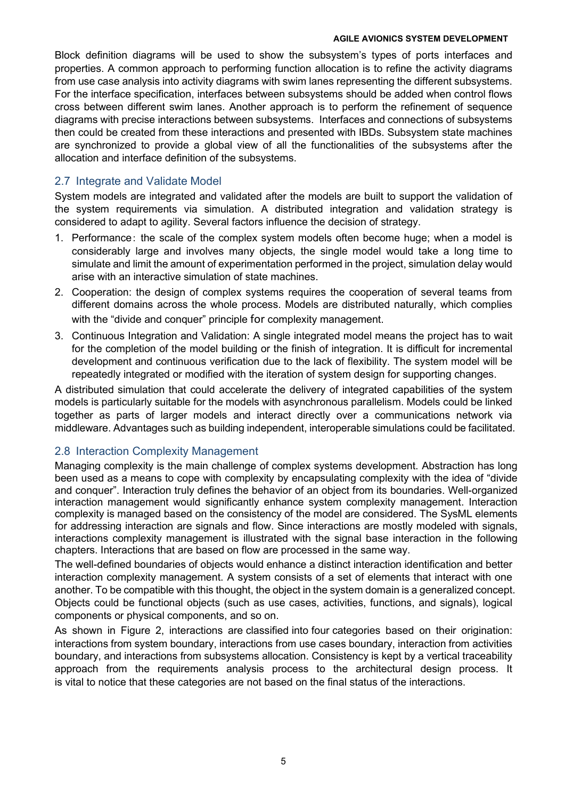Block definition diagrams will be used to show the subsystem's types of ports interfaces and properties. A common approach to performing function allocation is to refine the activity diagrams from use case analysis into activity diagrams with swim lanes representing the different subsystems. For the interface specification, interfaces between subsystems should be added when control flows cross between different swim lanes. Another approach is to perform the refinement of sequence diagrams with precise interactions between subsystems. Interfaces and connections of subsystems then could be created from these interactions and presented with IBDs. Subsystem state machines are synchronized to provide a global view of all the functionalities of the subsystems after the allocation and interface definition of the subsystems.

### 2.7 Integrate and Validate Model

System models are integrated and validated after the models are built to support the validation of the system requirements via simulation. A distributed integration and validation strategy is considered to adapt to agility. Several factors influence the decision of strategy.

- 1. Performance: the scale of the complex system models often become huge; when a model is considerably large and involves many objects, the single model would take a long time to simulate and limit the amount of experimentation performed in the project, simulation delay would arise with an interactive simulation of state machines.
- 2. Cooperation: the design of complex systems requires the cooperation of several teams from different domains across the whole process. Models are distributed naturally, which complies with the "divide and conquer" principle for complexity management.
- 3. Continuous Integration and Validation: A single integrated model means the project has to wait for the completion of the model building or the finish of integration. It is difficult for incremental development and continuous verification due to the lack of flexibility. The system model will be repeatedly integrated or modified with the iteration of system design for supporting changes.

A distributed simulation that could accelerate the delivery of integrated capabilities of the system models is particularly suitable for the models with asynchronous parallelism. Models could be linked together as parts of larger models and interact directly over a communications network via middleware. Advantages such as building independent, interoperable simulations could be facilitated.

#### 2.8 Interaction Complexity Management

Managing complexity is the main challenge of complex systems development. Abstraction has long been used as a means to cope with complexity by encapsulating complexity with the idea of "divide and conquer". Interaction truly defines the behavior of an object from its boundaries. Well-organized interaction management would significantly enhance system complexity management. Interaction complexity is managed based on the consistency of the model are considered. The SysML elements for addressing interaction are signals and flow. Since interactions are mostly modeled with signals, interactions complexity management is illustrated with the signal base interaction in the following chapters. Interactions that are based on flow are processed in the same way.

The well-defined boundaries of objects would enhance a distinct interaction identification and better interaction complexity management. A system consists of a set of elements that interact with one another. To be compatible with this thought, the object in the system domain is a generalized concept. Objects could be functional objects (such as use cases, activities, functions, and signals), logical components or physical components, and so on.

As shown in [Figure 2,](#page-5-0) interactions are classified into four categories based on their origination: interactions from system boundary, interactions from use cases boundary, interaction from activities boundary, and interactions from subsystems allocation. Consistency is kept by a vertical traceability approach from the requirements analysis process to the architectural design process. It is vital to notice that these categories are not based on the final status of the interactions.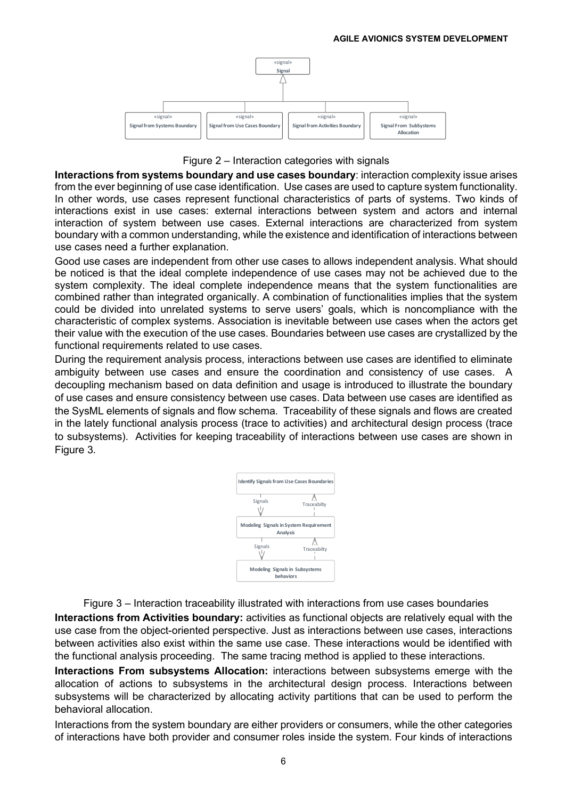

Figure 2 – Interaction categories with signals

<span id="page-5-0"></span>**Interactions from systems boundary and use cases boundary**: interaction complexity issue arises from the ever beginning of use case identification. Use cases are used to capture system functionality. In other words, use cases represent functional characteristics of parts of systems. Two kinds of interactions exist in use cases: external interactions between system and actors and internal interaction of system between use cases. External interactions are characterized from system boundary with a common understanding, while the existence and identification of interactions between use cases need a further explanation.

Good use cases are independent from other use cases to allows independent analysis. What should be noticed is that the ideal complete independence of use cases may not be achieved due to the system complexity. The ideal complete independence means that the system functionalities are combined rather than integrated organically. A combination of functionalities implies that the system could be divided into unrelated systems to serve users' goals, which is noncompliance with the characteristic of complex systems. Association is inevitable between use cases when the actors get their value with the execution of the use cases. Boundaries between use cases are crystallized by the functional requirements related to use cases.

During the requirement analysis process, interactions between use cases are identified to eliminate ambiguity between use cases and ensure the coordination and consistency of use cases. A decoupling mechanism based on data definition and usage is introduced to illustrate the boundary of use cases and ensure consistency between use cases. Data between use cases are identified as the SysML elements of signals and flow schema. Traceability of these signals and flows are created in the lately functional analysis process (trace to activities) and architectural design process (trace to subsystems). Activities for keeping traceability of interactions between use cases are shown in [Figure 3](#page-5-1).



Figure 3 – Interaction traceability illustrated with interactions from use cases boundaries

<span id="page-5-1"></span>**Interactions from Activities boundary:** activities as functional objects are relatively equal with the use case from the object-oriented perspective. Just as interactions between use cases, interactions between activities also exist within the same use case. These interactions would be identified with the functional analysis proceeding. The same tracing method is applied to these interactions.

**Interactions From subsystems Allocation:** interactions between subsystems emerge with the allocation of actions to subsystems in the architectural design process. Interactions between subsystems will be characterized by allocating activity partitions that can be used to perform the behavioral allocation.

Interactions from the system boundary are either providers or consumers, while the other categories of interactions have both provider and consumer roles inside the system. Four kinds of interactions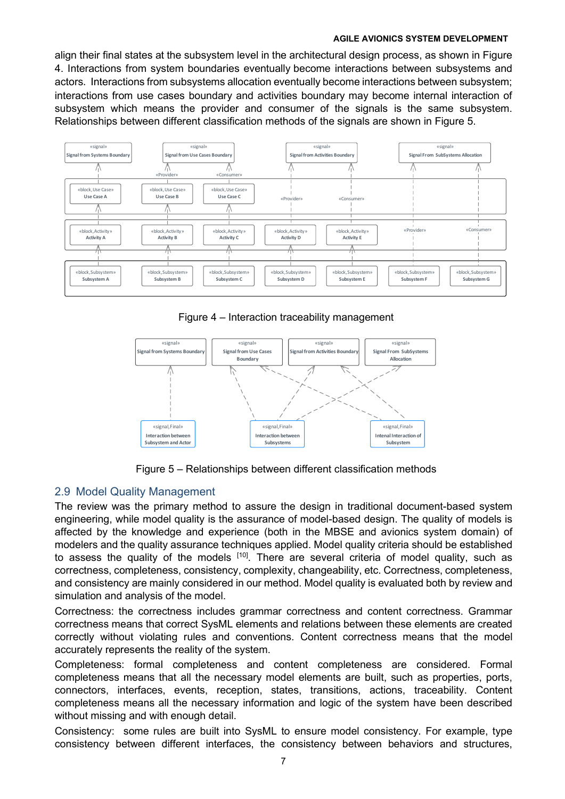align their final states at the subsystem level in the architectural design process, as shown in [Figure](#page-6-0)  [4.](#page-6-0) Interactions from system boundaries eventually become interactions between subsystems and actors. Interactions from subsystems allocation eventually become interactions between subsystem; interactions from use cases boundary and activities boundary may become internal interaction of subsystem which means the provider and consumer of the signals is the same subsystem. Relationships between different classification methods of the signals are shown in [Figure 5.](#page-6-1)



Figure 4 – Interaction traceability management

<span id="page-6-0"></span>

Figure 5 – Relationships between different classification methods

### <span id="page-6-1"></span>2.9 Model Quality Management

The review was the primary method to assure the design in traditional document-based system engineering, while model quality is the assurance of model-based design. The quality of models is affected by the knowledge and experience (both in the MBSE and avionics system domain) of modelers and the quality assurance techniques applied. Model quality criteria should be established to assess the quality of the models <sup>[10]</sup>. There are several criteria of model quality, such as correctness, completeness, consistency, complexity, changeability, etc. Correctness, completeness, and consistency are mainly considered in our method. Model quality is evaluated both by review and simulation and analysis of the model.

Correctness: the correctness includes grammar correctness and content correctness. Grammar correctness means that correct SysML elements and relations between these elements are created correctly without violating rules and conventions. Content correctness means that the model accurately represents the reality of the system.

Completeness: formal completeness and content completeness are considered. Formal completeness means that all the necessary model elements are built, such as properties, ports, connectors, interfaces, events, reception, states, transitions, actions, traceability. Content completeness means all the necessary information and logic of the system have been described without missing and with enough detail.

Consistency: some rules are built into SysML to ensure model consistency. For example, type consistency between different interfaces, the consistency between behaviors and structures,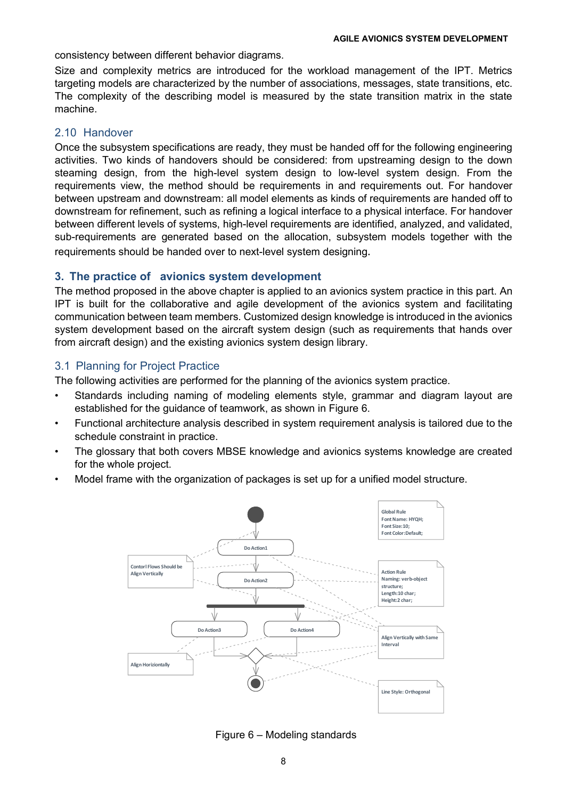consistency between different behavior diagrams.

Size and complexity metrics are introduced for the workload management of the IPT. Metrics targeting models are characterized by the number of associations, messages, state transitions, etc. The complexity of the describing model is measured by the state transition matrix in the state machine.

#### 2.10 Handover

Once the subsystem specifications are ready, they must be handed off for the following engineering activities. Two kinds of handovers should be considered: from upstreaming design to the down steaming design, from the high-level system design to low-level system design. From the requirements view, the method should be requirements in and requirements out. For handover between upstream and downstream: all model elements as kinds of requirements are handed off to downstream for refinement, such as refining a logical interface to a physical interface. For handover between different levels of systems, high-level requirements are identified, analyzed, and validated, sub-requirements are generated based on the allocation, subsystem models together with the requirements should be handed over to next-level system designing.

#### **3. The practice of avionics system development**

The method proposed in the above chapter is applied to an avionics system practice in this part. An IPT is built for the collaborative and agile development of the avionics system and facilitating communication between team members. Customized design knowledge is introduced in the avionics system development based on the aircraft system design (such as requirements that hands over from aircraft design) and the existing avionics system design library.

#### 3.1 Planning for Project Practice

The following activities are performed for the planning of the avionics system practice.

- Standards including naming of modeling elements style, grammar and diagram layout are established for the guidance of teamwork, as shown in [Figure 6](#page-7-0).
- Functional architecture analysis described in system requirement analysis is tailored due to the schedule constraint in practice.
- The glossary that both covers MBSE knowledge and avionics systems knowledge are created for the whole project.
- Model frame with the organization of packages is set up for a unified model structure.



<span id="page-7-0"></span>Figure 6 – Modeling standards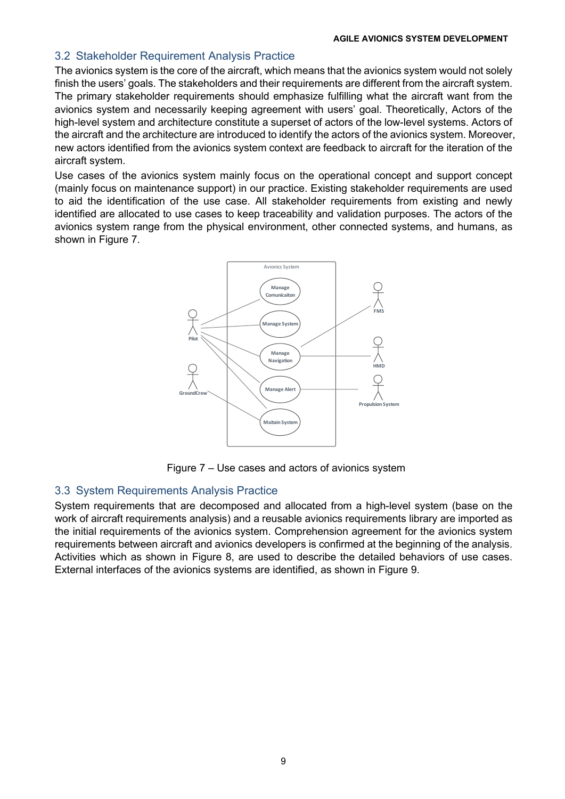#### 3.2 Stakeholder Requirement Analysis Practice

The avionics system is the core of the aircraft, which means that the avionics system would not solely finish the users' goals. The stakeholders and their requirements are different from the aircraft system. The primary stakeholder requirements should emphasize fulfilling what the aircraft want from the avionics system and necessarily keeping agreement with users' goal. Theoretically, Actors of the high-level system and architecture constitute a superset of actors of the low-level systems. Actors of the aircraft and the architecture are introduced to identify the actors of the avionics system. Moreover, new actors identified from the avionics system context are feedback to aircraft for the iteration of the aircraft system.

Use cases of the avionics system mainly focus on the operational concept and support concept (mainly focus on maintenance support) in our practice. Existing stakeholder requirements are used to aid the identification of the use case. All stakeholder requirements from existing and newly identified are allocated to use cases to keep traceability and validation purposes. The actors of the avionics system range from the physical environment, other connected systems, and humans, as shown in [Figure 7](#page-8-0).



Figure 7 – Use cases and actors of avionics system

### <span id="page-8-0"></span>3.3 System Requirements Analysis Practice

System requirements that are decomposed and allocated from a high-level system (base on the work of aircraft requirements analysis) and a reusable avionics requirements library are imported as the initial requirements of the avionics system. Comprehension agreement for the avionics system requirements between aircraft and avionics developers is confirmed at the beginning of the analysis. Activities which as shown in [Figure 8,](#page-9-0) are used to describe the detailed behaviors of use cases. External interfaces of the avionics systems are identified, as shown in [Figure 9.](#page-9-1)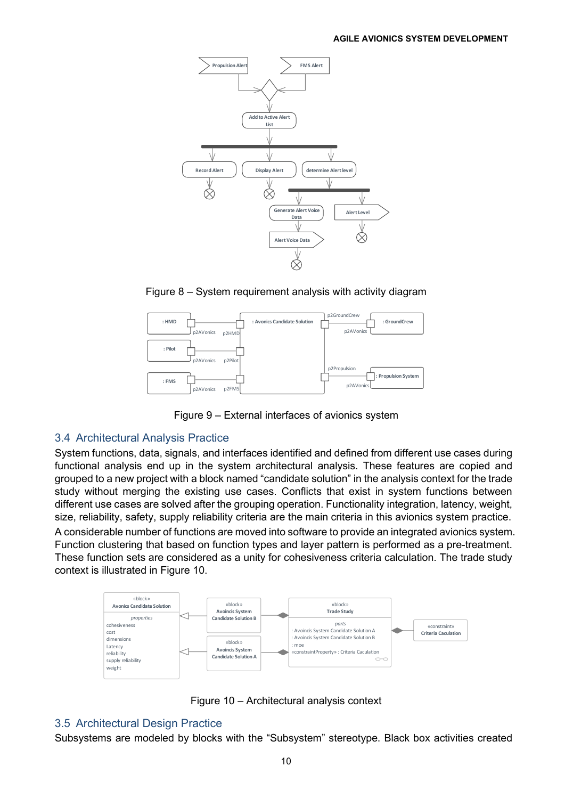

Figure 8 – System requirement analysis with activity diagram

<span id="page-9-0"></span>

Figure 9 – External interfaces of avionics system

### <span id="page-9-1"></span>3.4 Architectural Analysis Practice

System functions, data, signals, and interfaces identified and defined from different use cases during functional analysis end up in the system architectural analysis. These features are copied and grouped to a new project with a block named "candidate solution" in the analysis context for the trade study without merging the existing use cases. Conflicts that exist in system functions between different use cases are solved after the grouping operation. Functionality integration, latency, weight, size, reliability, safety, supply reliability criteria are the main criteria in this avionics system practice. A considerable number of functions are moved into software to provide an integrated avionics system. Function clustering that based on function types and layer pattern is performed as a pre-treatment. These function sets are considered as a unity for cohesiveness criteria calculation. The trade study context is illustrated in [Figure 10.](#page-9-2)



Figure 10 – Architectural analysis context

# <span id="page-9-2"></span>3.5 Architectural Design Practice

Subsystems are modeled by blocks with the "Subsystem" stereotype. Black box activities created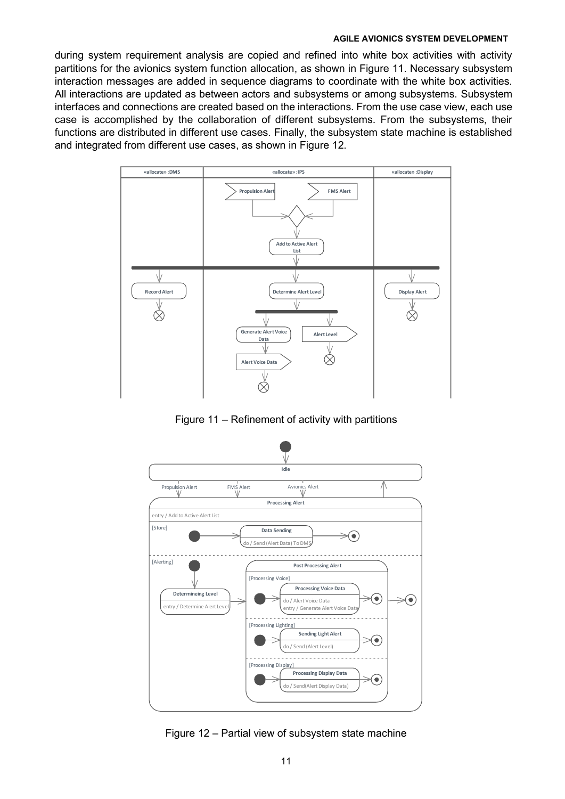during system requirement analysis are copied and refined into white box activities with activity partitions for the avionics system function allocation, as shown in [Figure 11.](#page-10-0) Necessary subsystem interaction messages are added in sequence diagrams to coordinate with the white box activities. All interactions are updated as between actors and subsystems or among subsystems. Subsystem interfaces and connections are created based on the interactions. From the use case view, each use case is accomplished by the collaboration of different subsystems. From the subsystems, their functions are distributed in different use cases. Finally, the subsystem state machine is established and integrated from different use cases, as shown in [Figure 12.](#page-10-1)



<span id="page-10-0"></span>Figure 11 – Refinement of activity with partitions



<span id="page-10-1"></span>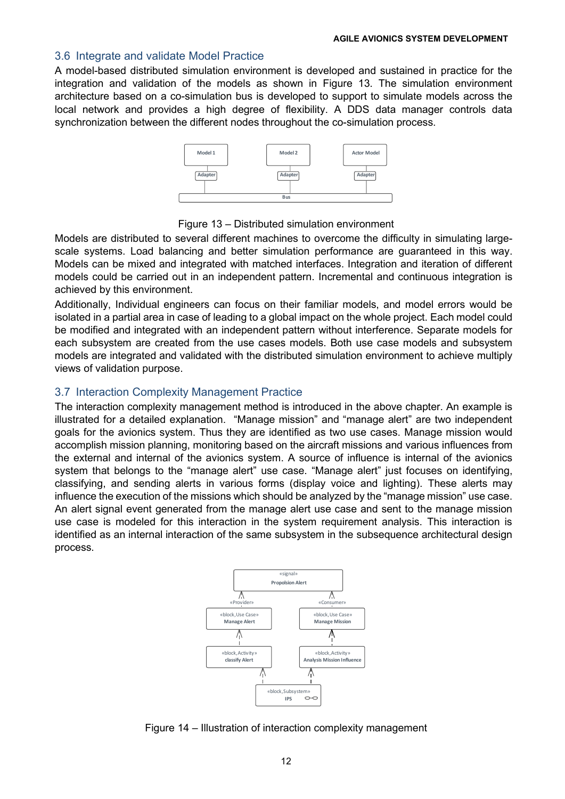#### 3.6 Integrate and validate Model Practice

A model-based distributed simulation environment is developed and sustained in practice for the integration and validation of the models as shown in [Figure 13.](#page-11-0) The simulation environment architecture based on a co-simulation bus is developed to support to simulate models across the local network and provides a high degree of flexibility. A DDS data manager controls data synchronization between the different nodes throughout the co-simulation process.



Figure 13 – Distributed simulation environment

<span id="page-11-0"></span>Models are distributed to several different machines to overcome the difficulty in simulating largescale systems. Load balancing and better simulation performance are guaranteed in this way. Models can be mixed and integrated with matched interfaces. Integration and iteration of different models could be carried out in an independent pattern. Incremental and continuous integration is achieved by this environment.

Additionally, Individual engineers can focus on their familiar models, and model errors would be isolated in a partial area in case of leading to a global impact on the whole project. Each model could be modified and integrated with an independent pattern without interference. Separate models for each subsystem are created from the use cases models. Both use case models and subsystem models are integrated and validated with the distributed simulation environment to achieve multiply views of validation purpose.

# 3.7 Interaction Complexity Management Practice

The interaction complexity management method is introduced in the above chapter. An example is illustrated for a detailed explanation. "Manage mission" and "manage alert" are two independent goals for the avionics system. Thus they are identified as two use cases. Manage mission would accomplish mission planning, monitoring based on the aircraft missions and various influences from the external and internal of the avionics system. A source of influence is internal of the avionics system that belongs to the "manage alert" use case. "Manage alert" just focuses on identifying, classifying, and sending alerts in various forms (display voice and lighting). These alerts may influence the execution of the missions which should be analyzed by the "manage mission" use case. An alert signal event generated from the manage alert use case and sent to the manage mission use case is modeled for this interaction in the system requirement analysis. This interaction is identified as an internal interaction of the same subsystem in the subsequence architectural design process.



Figure 14 – Illustration of interaction complexity management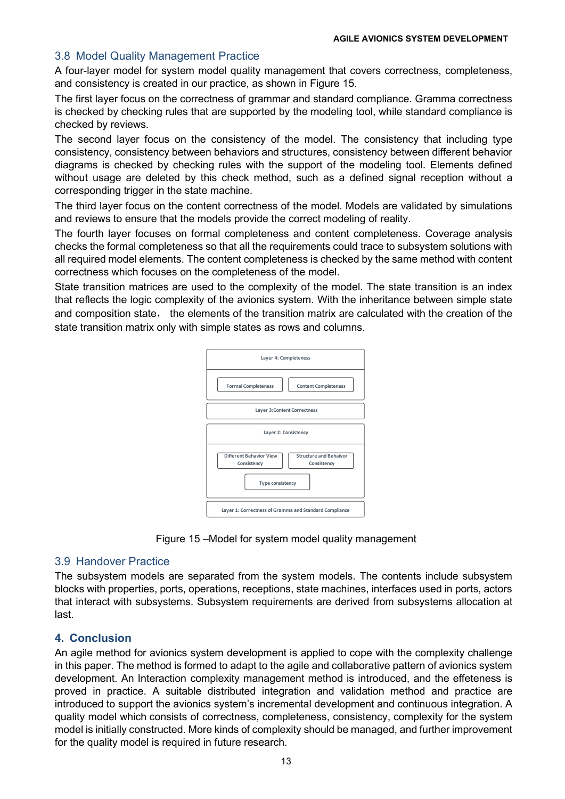# 3.8 Model Quality Management Practice

A four-layer model for system model quality management that covers correctness, completeness, and consistency is created in our practice, as shown in [Figure 15.](#page-12-0)

The first layer focus on the correctness of grammar and standard compliance. Gramma correctness is checked by checking rules that are supported by the modeling tool, while standard compliance is checked by reviews.

The second layer focus on the consistency of the model. The consistency that including type consistency, consistency between behaviors and structures, consistency between different behavior diagrams is checked by checking rules with the support of the modeling tool. Elements defined without usage are deleted by this check method, such as a defined signal reception without a corresponding trigger in the state machine.

The third layer focus on the content correctness of the model. Models are validated by simulations and reviews to ensure that the models provide the correct modeling of reality.

The fourth layer focuses on formal completeness and content completeness. Coverage analysis checks the formal completeness so that all the requirements could trace to subsystem solutions with all required model elements. The content completeness is checked by the same method with content correctness which focuses on the completeness of the model.

State transition matrices are used to the complexity of the model. The state transition is an index that reflects the logic complexity of the avionics system. With the inheritance between simple state and composition state, the elements of the transition matrix are calculated with the creation of the state transition matrix only with simple states as rows and columns.



Figure 15 –Model for system model quality management

### <span id="page-12-0"></span>3.9 Handover Practice

The subsystem models are separated from the system models. The contents include subsystem blocks with properties, ports, operations, receptions, state machines, interfaces used in ports, actors that interact with subsystems. Subsystem requirements are derived from subsystems allocation at last.

### **4. Conclusion**

An agile method for avionics system development is applied to cope with the complexity challenge in this paper. The method is formed to adapt to the agile and collaborative pattern of avionics system development. An Interaction complexity management method is introduced, and the effeteness is proved in practice. A suitable distributed integration and validation method and practice are introduced to support the avionics system's incremental development and continuous integration. A quality model which consists of correctness, completeness, consistency, complexity for the system model is initially constructed. More kinds of complexity should be managed, and further improvement for the quality model is required in future research.